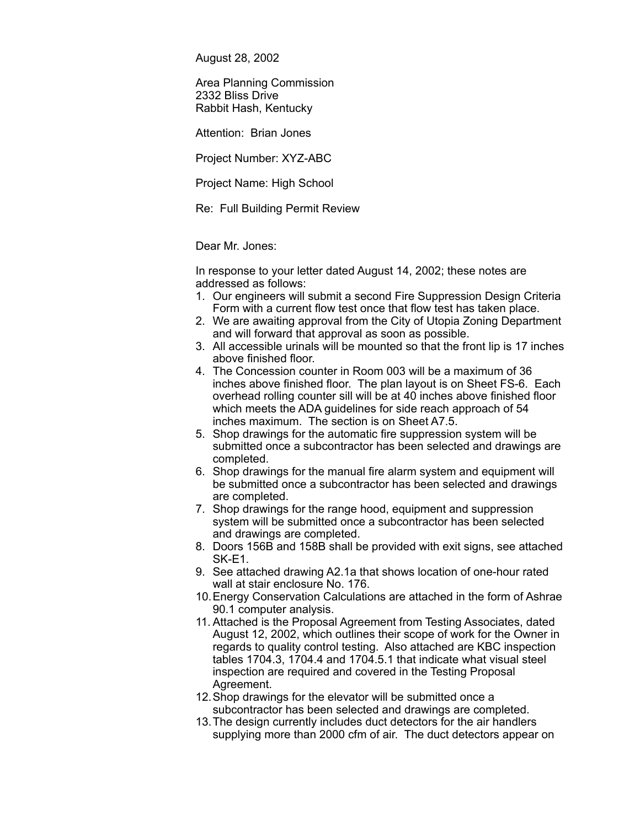August 28, 2002

Area Planning Commission 2332 Bliss Drive Rabbit Hash, Kentucky

Attention: Brian Jones

Project Number: XYZ-ABC

Project Name: High School

Re: Full Building Permit Review

Dear Mr. Jones:

In response to your letter dated August 14, 2002; these notes are addressed as follows:

- 1. Our engineers will submit a second Fire Suppression Design Criteria Form with a current flow test once that flow test has taken place.
- 2. We are awaiting approval from the City of Utopia Zoning Department and will forward that approval as soon as possible.
- 3. All accessible urinals will be mounted so that the front lip is 17 inches above finished floor.
- 4. The Concession counter in Room 003 will be a maximum of 36 inches above finished floor. The plan layout is on Sheet FS-6. Each overhead rolling counter sill will be at 40 inches above finished floor which meets the ADA guidelines for side reach approach of 54 inches maximum. The section is on Sheet A7.5.
- 5. Shop drawings for the automatic fire suppression system will be submitted once a subcontractor has been selected and drawings are completed.
- 6. Shop drawings for the manual fire alarm system and equipment will be submitted once a subcontractor has been selected and drawings are completed.
- 7. Shop drawings for the range hood, equipment and suppression system will be submitted once a subcontractor has been selected and drawings are completed.
- 8. Doors 156B and 158B shall be provided with exit signs, see attached SK-E1.
- 9. See attached drawing A2.1a that shows location of one-hour rated wall at stair enclosure No. 176.
- 10.Energy Conservation Calculations are attached in the form of Ashrae 90.1 computer analysis.
- 11. Attached is the Proposal Agreement from Testing Associates, dated August 12, 2002, which outlines their scope of work for the Owner in regards to quality control testing. Also attached are KBC inspection tables 1704.3, 1704.4 and 1704.5.1 that indicate what visual steel inspection are required and covered in the Testing Proposal Agreement.
- 12.Shop drawings for the elevator will be submitted once a subcontractor has been selected and drawings are completed.
- 13.The design currently includes duct detectors for the air handlers supplying more than 2000 cfm of air. The duct detectors appear on